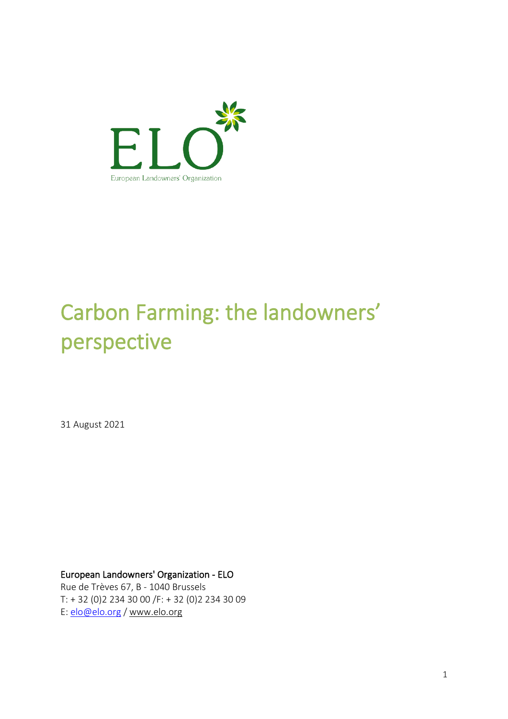

# Carbon Farming: the landowners' Carbon Farmin<br>perspective<br><sup>31 August 2021</sup>

European Landowners' Organization - ELO Rue de Trèves 67, B - 1040 Brussels

T: + 32 (0)2 234 30 00 /F: + 32 (0)2 234 30 09 E: elo@elo.org / www.elo.org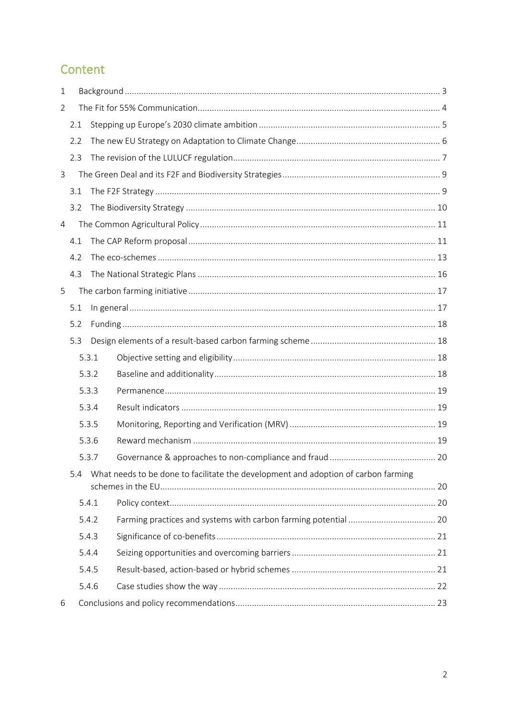# Content

| $\mathbf 1$ |     |       |                                                                                    |  |
|-------------|-----|-------|------------------------------------------------------------------------------------|--|
| 2           |     |       |                                                                                    |  |
|             | 2.1 |       |                                                                                    |  |
|             | 2.2 |       |                                                                                    |  |
|             | 2.3 |       |                                                                                    |  |
| 3           |     |       |                                                                                    |  |
|             | 3.1 |       |                                                                                    |  |
|             | 3.2 |       |                                                                                    |  |
| 4           |     |       |                                                                                    |  |
|             | 4.1 |       |                                                                                    |  |
|             | 4.2 |       |                                                                                    |  |
|             | 4.3 |       |                                                                                    |  |
| 5           |     |       |                                                                                    |  |
|             | 5.1 |       |                                                                                    |  |
|             | 5.2 |       |                                                                                    |  |
|             | 5.3 |       |                                                                                    |  |
|             |     | 5.3.1 |                                                                                    |  |
|             |     | 5.3.2 |                                                                                    |  |
|             |     | 5.3.3 |                                                                                    |  |
|             |     | 5.3.4 |                                                                                    |  |
|             |     | 5.3.5 |                                                                                    |  |
|             |     | 5.3.6 |                                                                                    |  |
|             |     | 5.3.7 |                                                                                    |  |
|             | 5.4 |       | What needs to be done to facilitate the development and adoption of carbon farming |  |
|             |     | 5.4.1 |                                                                                    |  |
|             |     | 5.4.2 |                                                                                    |  |
|             |     | 5.4.3 |                                                                                    |  |
|             |     | 5.4.4 |                                                                                    |  |
|             |     | 5.4.5 |                                                                                    |  |
|             |     | 5.4.6 |                                                                                    |  |
| 6           |     |       |                                                                                    |  |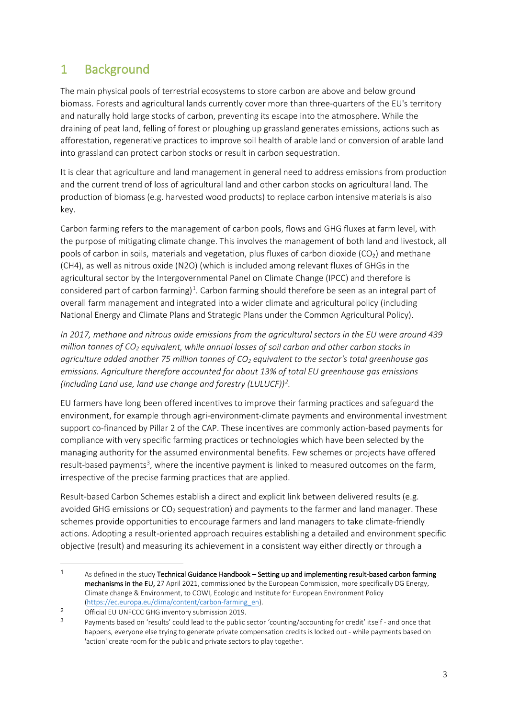# 1 Background

The main physical pools of terrestrial ecosystems to store carbon are above and below ground biomass. Forests and agricultural lands currently cover more than three-quarters of the EU's territory and naturally hold large stocks of carbon, preventing its escape into the atmosphere. While the draining of peat land, felling of forest or ploughing up grassland generates emissions, actions such as afforestation, regenerative practices to improve soil health of arable land or conversion of arable land into grassland can protect carbon stocks or result in carbon sequestration.

It is clear that agriculture and land management in general need to address emissions from production and the current trend of loss of agricultural land and other carbon stocks on agricultural land. The production of biomass (e.g. harvested wood products) to replace carbon intensive materials is also key.

Carbon farming refers to the management of carbon pools, flows and GHG fluxes at farm level, with the purpose of mitigating climate change. This involves the management of both land and livestock, all pools of carbon in soils, materials and vegetation, plus fluxes of carbon dioxide (CO<sub>2</sub>) and methane (CH4), as well as nitrous oxide (N2O) (which is included among relevant fluxes of GHGs in the agricultural sector by the Intergovernmental Panel on Climate Change (IPCC) and therefore is considered part of carbon farming)<sup>1</sup>. Carbon farming should therefore be seen as an integral part of overall farm management and integrated into a wider climate and agricultural policy (including National Energy and Climate Plans and Strategic Plans under the Common Agricultural Policy).

*In 2017, methane and nitrous oxide emissions from the agricultural sectors in the EU were around 439 million tonnes of CO2 equivalent, while annual losses of soil carbon and other carbon stocks in agriculture added another 75 million tonnes of CO2 equivalent to the sector's total greenhouse gas emissions. Agriculture therefore accounted for about 13% of total EU greenhouse gas emissions (including Land use, land use change and forestry (LULUCF))2 .*

EU farmers have long been offered incentives to improve their farming practices and safeguard the environment, for example through agri-environment-climate payments and environmental investment support co-financed by Pillar 2 of the CAP. These incentives are commonly action-based payments for compliance with very specific farming practices or technologies which have been selected by the managing authority for the assumed environmental benefits. Few schemes or projects have offered result-based payments<sup>3</sup>, where the incentive payment is linked to measured outcomes on the farm, irrespective of the precise farming practices that are applied.

Result-based Carbon Schemes establish a direct and explicit link between delivered results (e.g. avoided GHG emissions or  $CO<sub>2</sub>$  sequestration) and payments to the farmer and land manager. These schemes provide opportunities to encourage farmers and land managers to take climate-friendly actions. Adopting a result-oriented approach requires establishing a detailed and environment specific objective (result) and measuring its achievement in a consistent way either directly or through a

<sup>&</sup>lt;sup>1</sup> As defined in the study Technical Guidance Handbook – Setting up and implementing result-based carbon farming mechanisms in the EU, 27 April 2021, commissioned by the European Commission, more specifically DG Energy, Climate change & Environment, to COWI, Ecologic and Institute for European Environment Policy (https://ec.europa.eu/clima/content/carbon-farming\_en).

<sup>2</sup> Official EU UNFCCC GHG inventory submission 2019.

Payments based on 'results' could lead to the public sector 'counting/accounting for credit' itself - and once that happens, everyone else trying to generate private compensation credits is locked out - while payments based on 'action' create room for the public and private sectors to play together.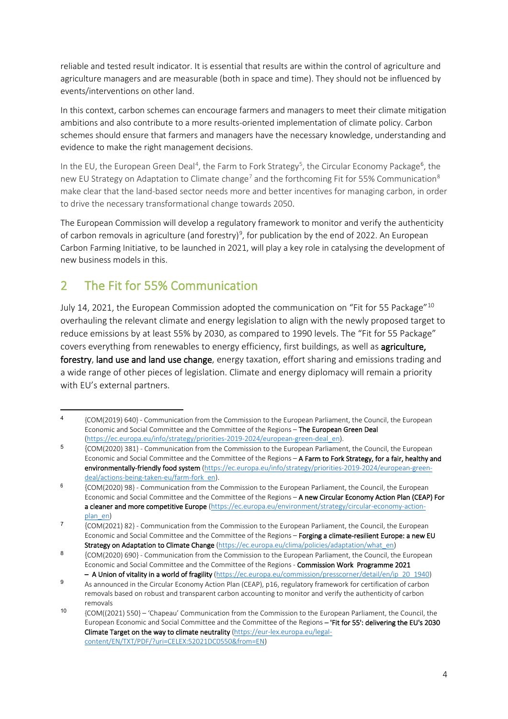reliable and tested result indicator. It is essential that results are within the control of agriculture and agriculture managers and are measurable (both in space and time). They should not be influenced by events/interventions on other land.

In this context, carbon schemes can encourage farmers and managers to meet their climate mitigation ambitions and also contribute to a more results-oriented implementation of climate policy. Carbon schemes should ensure that farmers and managers have the necessary knowledge, understanding and evidence to make the right management decisions.

In the EU, the European Green Deal<sup>4</sup>, the Farm to Fork Strategy<sup>5</sup>, the Circular Economy Package<sup>6</sup>, the new EU Strategy on Adaptation to Climate change<sup>7</sup> and the forthcoming Fit for 55% Communication<sup>8</sup> make clear that the land-based sector needs more and better incentives for managing carbon, in order to drive the necessary transformational change towards 2050.

The European Commission will develop a regulatory framework to monitor and verify the authenticity of carbon removals in agriculture (and forestry)<sup>9</sup>, for publication by the end of 2022. An European Carbon Farming Initiative, to be launched in 2021, will play a key role in catalysing the development of new business models in this.

# 2 The Fit for 55% Communication

July 14, 2021, the European Commission adopted the communication on "Fit for 55 Package"10 overhauling the relevant climate and energy legislation to align with the newly proposed target to reduce emissions by at least 55% by 2030, as compared to 1990 levels. The "Fit for 55 Package" covers everything from renewables to energy efficiency, first buildings, as well as agriculture, forestry, land use and land use change, energy taxation, effort sharing and emissions trading and a wide range of other pieces of legislation. Climate and energy diplomacy will remain a priority with EU's external partners.

<sup>4</sup> {COM(2019) 640} - Communication from the Commission to the European Parliament, the Council, the European Economic and Social Committee and the Committee of the Regions – The European Green Deal (https://ec.europa.eu/info/strategy/priorities-2019-2024/european-green-deal\_en).

<sup>5</sup> {COM(2020) 381} - Communication from the Commission to the European Parliament, the Council, the European Economic and Social Committee and the Committee of the Regions – A Farm to Fork Strategy, for a fair, healthy and environmentally-friendly food system (https://ec.europa.eu/info/strategy/priorities-2019-2024/european-greendeal/actions-being-taken-eu/farm-fork\_en).

<sup>&</sup>lt;sup>6</sup>  ${6}$  {COM(2020) 98} - Communication from the Commission to the European Parliament, the Council, the European Economic and Social Committee and the Committee of the Regions – A new Circular Economy Action Plan (CEAP) For a cleaner and more competitive Europe (https://ec.europa.eu/environment/strategy/circular-economy-actionplan\_en)

<sup>7</sup> {COM(2021) 82} - Communication from the Commission to the European Parliament, the Council, the European Economic and Social Committee and the Committee of the Regions – Forging a climate-resilient Europe: a new EU Strategy on Adaptation to Climate Change (https://ec.europa.eu/clima/policies/adaptation/what\_en)

<sup>8</sup>  ${8}$  {COM(2020) 690} - Communication from the Commission to the European Parliament, the Council, the European Economic and Social Committee and the Committee of the Regions - Commission Work Programme 2021 – A Union of vitality in a world of fragility (https://ec.europa.eu/commission/presscorner/detail/en/ip\_20\_1940)

<sup>9</sup> As announced in the Circular Economy Action Plan (CEAP), p16, regulatory framework for certification of carbon removals based on robust and transparent carbon accounting to monitor and verify the authenticity of carbon removals

<sup>10</sup> {COM((2021) 550} – 'Chapeau' Communication from the Commission to the European Parliament, the Council, the European Economic and Social Committee and the Committee of the Regions – 'Fit for 55': delivering the EU's 2030 Climate Target on the way to climate neutrality (https://eur-lex.europa.eu/legalcontent/EN/TXT/PDF/?uri=CELEX:52021DC0550&from=EN)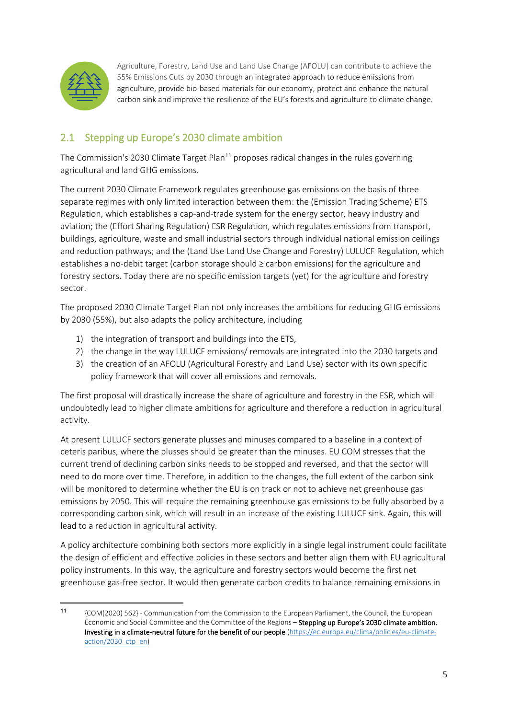

Agriculture, Forestry, Land Use and Land Use Change (AFOLU) can contribute to achieve the 55% Emissions Cuts by 2030 through an integrated approach to reduce emissions from agriculture, provide bio-based materials for our economy, protect and enhance the natural carbon sink and improve the resilience of the EU's forests and agriculture to climate change.

# 2.1 Stepping up Europe's 2030 climate ambition

The Commission's 2030 Climate Target Plan<sup>11</sup> proposes radical changes in the rules governing agricultural and land GHG emissions.

The current 2030 Climate Framework regulates greenhouse gas emissions on the basis of three separate regimes with only limited interaction between them: the (Emission Trading Scheme) ETS Regulation, which establishes a cap-and-trade system for the energy sector, heavy industry and aviation; the (Effort Sharing Regulation) ESR Regulation, which regulates emissions from transport, buildings, agriculture, waste and small industrial sectors through individual national emission ceilings and reduction pathways; and the (Land Use Land Use Change and Forestry) LULUCF Regulation, which establishes a no-debit target (carbon storage should ≥ carbon emissions) for the agriculture and forestry sectors. Today there are no specific emission targets (yet) for the agriculture and forestry sector.

The proposed 2030 Climate Target Plan not only increases the ambitions for reducing GHG emissions by 2030 (55%), but also adapts the policy architecture, including

- 1) the integration of transport and buildings into the ETS,
- 2) the change in the way LULUCF emissions/ removals are integrated into the 2030 targets and
- 3) the creation of an AFOLU (Agricultural Forestry and Land Use) sector with its own specific policy framework that will cover all emissions and removals.

The first proposal will drastically increase the share of agriculture and forestry in the ESR, which will undoubtedly lead to higher climate ambitions for agriculture and therefore a reduction in agricultural activity.

At present LULUCF sectors generate plusses and minuses compared to a baseline in a context of ceteris paribus, where the plusses should be greater than the minuses. EU COM stresses that the current trend of declining carbon sinks needs to be stopped and reversed, and that the sector will need to do more over time. Therefore, in addition to the changes, the full extent of the carbon sink will be monitored to determine whether the EU is on track or not to achieve net greenhouse gas emissions by 2050. This will require the remaining greenhouse gas emissions to be fully absorbed by a corresponding carbon sink, which will result in an increase of the existing LULUCF sink. Again, this will lead to a reduction in agricultural activity.

A policy architecture combining both sectors more explicitly in a single legal instrument could facilitate the design of efficient and effective policies in these sectors and better align them with EU agricultural policy instruments. In this way, the agriculture and forestry sectors would become the first net greenhouse gas-free sector. It would then generate carbon credits to balance remaining emissions in

<sup>11</sup> {COM(2020) 562} - Communication from the Commission to the European Parliament, the Council, the European Economic and Social Committee and the Committee of the Regions – Stepping up Europe's 2030 climate ambition. Investing in a climate-neutral future for the benefit of our people (https://ec.europa.eu/clima/policies/eu-climateaction/2030\_ctp\_en)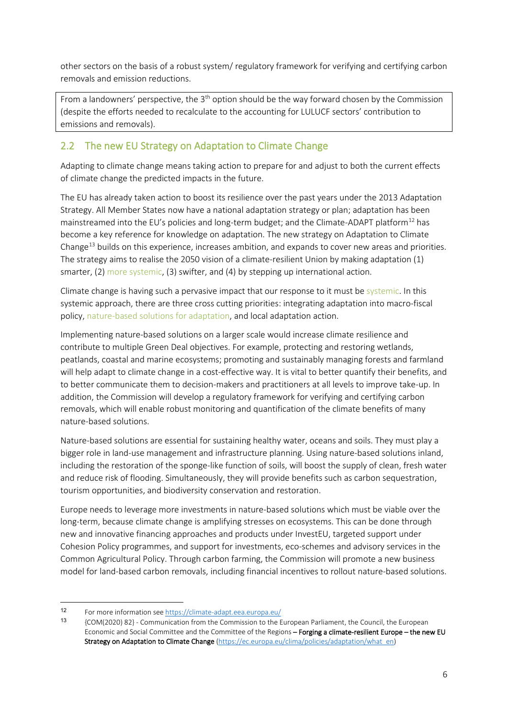other sectors on the basis of a robust system/ regulatory framework for verifying and certifying carbon removals and emission reductions.

From a landowners' perspective, the  $3<sup>th</sup>$  option should be the way forward chosen by the Commission (despite the efforts needed to recalculate to the accounting for LULUCF sectors' contribution to emissions and removals).

## 2.2 The new EU Strategy on Adaptation to Climate Change

Adapting to climate change means taking action to prepare for and adjust to both the current effects of climate change the predicted impacts in the future.

The EU has already taken action to boost its resilience over the past years under the 2013 Adaptation Strategy. All Member States now have a national adaptation strategy or plan; adaptation has been mainstreamed into the EU's policies and long-term budget; and the Climate-ADAPT platform<sup>12</sup> has become a key reference for knowledge on adaptation. The new strategy on Adaptation to Climate Change<sup>13</sup> builds on this experience, increases ambition, and expands to cover new areas and priorities. The strategy aims to realise the 2050 vision of a climate-resilient Union by making adaptation (1) smarter, (2) more systemic, (3) swifter, and (4) by stepping up international action.

Climate change is having such a pervasive impact that our response to it must be systemic. In this systemic approach, there are three cross cutting priorities: integrating adaptation into macro-fiscal policy, nature-based solutions for adaptation, and local adaptation action.

Implementing nature-based solutions on a larger scale would increase climate resilience and contribute to multiple Green Deal objectives. For example, protecting and restoring wetlands, peatlands, coastal and marine ecosystems; promoting and sustainably managing forests and farmland will help adapt to climate change in a cost-effective way. It is vital to better quantify their benefits, and to better communicate them to decision-makers and practitioners at all levels to improve take-up. In addition, the Commission will develop a regulatory framework for verifying and certifying carbon removals, which will enable robust monitoring and quantification of the climate benefits of many nature-based solutions.

Nature-based solutions are essential for sustaining healthy water, oceans and soils. They must play a bigger role in land-use management and infrastructure planning. Using nature-based solutions inland, including the restoration of the sponge-like function of soils, will boost the supply of clean, fresh water and reduce risk of flooding. Simultaneously, they will provide benefits such as carbon sequestration, tourism opportunities, and biodiversity conservation and restoration.

Europe needs to leverage more investments in nature-based solutions which must be viable over the long-term, because climate change is amplifying stresses on ecosystems. This can be done through new and innovative financing approaches and products under InvestEU, targeted support under Cohesion Policy programmes, and support for investments, eco-schemes and advisory services in the Common Agricultural Policy. Through carbon farming, the Commission will promote a new business model for land-based carbon removals, including financial incentives to rollout nature-based solutions.

<sup>12</sup> For more information see  $\frac{https://climate-adapt.eea.europa.eu/}{https://climate-adapt.eea.europa.eu/}$ 

<sup>13</sup> {COM(2020) 82} - Communication from the Commission to the European Parliament, the Council, the European Economic and Social Committee and the Committee of the Regions - Forging a climate-resilient Europe - the new EU Strategy on Adaptation to Climate Change (https://ec.europa.eu/clima/policies/adaptation/what\_en)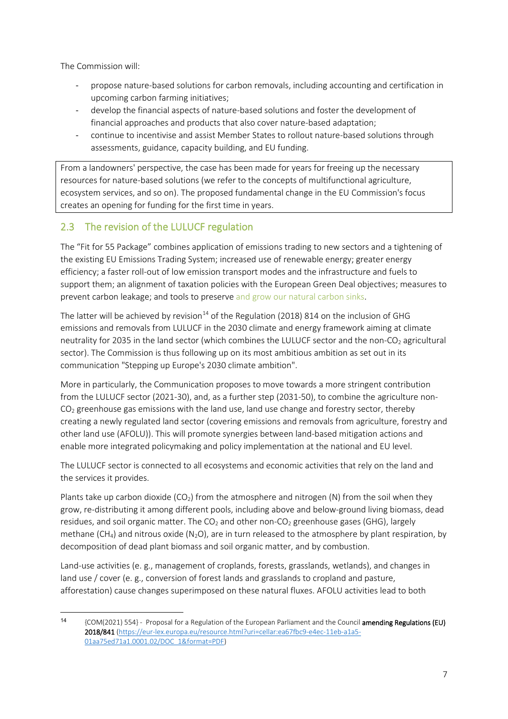The Commission will:

- propose nature-based solutions for carbon removals, including accounting and certification in upcoming carbon farming initiatives;
- develop the financial aspects of nature-based solutions and foster the development of financial approaches and products that also cover nature-based adaptation;
- continue to incentivise and assist Member States to rollout nature-based solutions through assessments, guidance, capacity building, and EU funding.

From a landowners' perspective, the case has been made for years for freeing up the necessary resources for nature-based solutions (we refer to the concepts of multifunctional agriculture, ecosystem services, and so on). The proposed fundamental change in the EU Commission's focus creates an opening for funding for the first time in years.

## 2.3 The revision of the LULUCF regulation

The "Fit for 55 Package" combines application of emissions trading to new sectors and a tightening of the existing EU Emissions Trading System; increased use of renewable energy; greater energy efficiency; a faster roll-out of low emission transport modes and the infrastructure and fuels to support them; an alignment of taxation policies with the European Green Deal objectives; measures to prevent carbon leakage; and tools to preserve and grow our natural carbon sinks.

The latter will be achieved by revision<sup>14</sup> of the Regulation (2018) 814 on the inclusion of GHG emissions and removals from LULUCF in the 2030 climate and energy framework aiming at climate neutrality for 2035 in the land sector (which combines the LULUCF sector and the non-CO<sub>2</sub> agricultural sector). The Commission is thus following up on its most ambitious ambition as set out in its communication "Stepping up Europe's 2030 climate ambition".

More in particularly, the Communication proposes to move towards a more stringent contribution from the LULUCF sector (2021-30), and, as a further step (2031-50), to combine the agriculture non- $CO<sub>2</sub>$  greenhouse gas emissions with the land use, land use change and forestry sector, thereby creating a newly regulated land sector (covering emissions and removals from agriculture, forestry and other land use (AFOLU)). This will promote synergies between land-based mitigation actions and enable more integrated policymaking and policy implementation at the national and EU level.

The LULUCF sector is connected to all ecosystems and economic activities that rely on the land and the services it provides.

Plants take up carbon dioxide ( $CO<sub>2</sub>$ ) from the atmosphere and nitrogen (N) from the soil when they grow, re-distributing it among different pools, including above and below-ground living biomass, dead residues, and soil organic matter. The  $CO<sub>2</sub>$  and other non- $CO<sub>2</sub>$  greenhouse gases (GHG), largely methane (CH<sub>4</sub>) and nitrous oxide (N<sub>2</sub>O), are in turn released to the atmosphere by plant respiration, by decomposition of dead plant biomass and soil organic matter, and by combustion.

Land-use activities (e. g., management of croplands, forests, grasslands, wetlands), and changes in land use / cover (e. g., conversion of forest lands and grasslands to cropland and pasture, afforestation) cause changes superimposed on these natural fluxes. AFOLU activities lead to both

<sup>14</sup> {COM(2021) 554} - Proposal for a Regulation of the European Parliament and the Council amending Regulations (EU) 2018/841 (https://eur-lex.europa.eu/resource.html?uri=cellar:ea67fbc9-e4ec-11eb-a1a5- 01aa75ed71a1.0001.02/DOC\_1&format=PDF)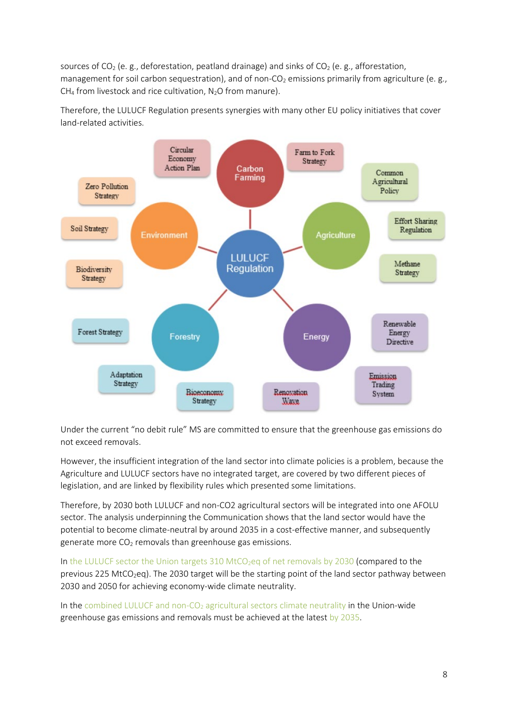sources of CO<sub>2</sub> (e. g., deforestation, peatland drainage) and sinks of CO<sub>2</sub> (e. g., afforestation, management for soil carbon sequestration), and of non-CO<sub>2</sub> emissions primarily from agriculture (e. g., CH<sub>4</sub> from livestock and rice cultivation,  $N_2O$  from manure).

Therefore, the LULUCF Regulation presents synergies with many other EU policy initiatives that cover land-related activities.



Under the current "no debit rule" MS are committed to ensure that the greenhouse gas emissions do not exceed removals.

However, the insufficient integration of the land sector into climate policies is a problem, because the Agriculture and LULUCF sectors have no integrated target, are covered by two different pieces of legislation, and are linked by flexibility rules which presented some limitations.

Therefore, by 2030 both LULUCF and non-CO2 agricultural sectors will be integrated into one AFOLU sector. The analysis underpinning the Communication shows that the land sector would have the potential to become climate-neutral by around 2035 in a cost-effective manner, and subsequently generate more  $CO<sub>2</sub>$  removals than greenhouse gas emissions.

In the LULUCF sector the Union targets 310 MtCO<sub>2</sub>eq of net removals by 2030 (compared to the previous 225 MtCO<sub>2</sub>eq). The 2030 target will be the starting point of the land sector pathway between 2030 and 2050 for achieving economy-wide climate neutrality.

In the combined LULUCF and non- $CO<sub>2</sub>$  agricultural sectors climate neutrality in the Union-wide greenhouse gas emissions and removals must be achieved at the latest by 2035.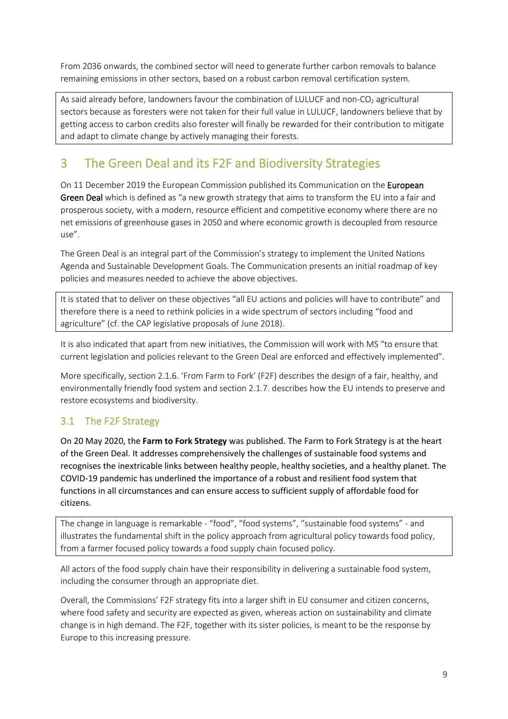From 2036 onwards, the combined sector will need to generate further carbon removals to balance remaining emissions in other sectors, based on a robust carbon removal certification system.

As said already before, landowners favour the combination of LULUCF and non-CO<sub>2</sub> agricultural sectors because as foresters were not taken for their full value in LULUCF, landowners believe that by getting access to carbon credits also forester will finally be rewarded for their contribution to mitigate and adapt to climate change by actively managing their forests.

# 3 The Green Deal and its F2F and Biodiversity Strategies

On 11 December 2019 the European Commission published its Communication on the European Green Deal which is defined as "a new growth strategy that aims to transform the EU into a fair and prosperous society, with a modern, resource efficient and competitive economy where there are no net emissions of greenhouse gases in 2050 and where economic growth is decoupled from resource use".

The Green Deal is an integral part of the Commission's strategy to implement the United Nations Agenda and Sustainable Development Goals. The Communication presents an initial roadmap of key policies and measures needed to achieve the above objectives.

It is stated that to deliver on these objectives "all EU actions and policies will have to contribute" and therefore there is a need to rethink policies in a wide spectrum of sectors including "food and agriculture" (cf. the CAP legislative proposals of June 2018).

It is also indicated that apart from new initiatives, the Commission will work with MS "to ensure that current legislation and policies relevant to the Green Deal are enforced and effectively implemented".

More specifically, section 2.1.6. 'From Farm to Fork' (F2F) describes the design of a fair, healthy, and environmentally friendly food system and section 2.1.7. describes how the EU intends to preserve and restore ecosystems and biodiversity.

# 3.1 The F2F Strategy

On 20 May 2020, the **Farm to Fork Strategy** was published. The Farm to Fork Strategy is at the heart of the Green Deal. It addresses comprehensively the challenges of sustainable food systems and recognises the inextricable links between healthy people, healthy societies, and a healthy planet. The COVID-19 pandemic has underlined the importance of a robust and resilient food system that functions in all circumstances and can ensure access to sufficient supply of affordable food for citizens.

The change in language is remarkable - "food", "food systems", "sustainable food systems" - and illustrates the fundamental shift in the policy approach from agricultural policy towards food policy, from a farmer focused policy towards a food supply chain focused policy.

All actors of the food supply chain have their responsibility in delivering a sustainable food system, including the consumer through an appropriate diet.

Overall, the Commissions' F2F strategy fits into a larger shift in EU consumer and citizen concerns, where food safety and security are expected as given, whereas action on sustainability and climate change is in high demand. The F2F, together with its sister policies, is meant to be the response by Europe to this increasing pressure.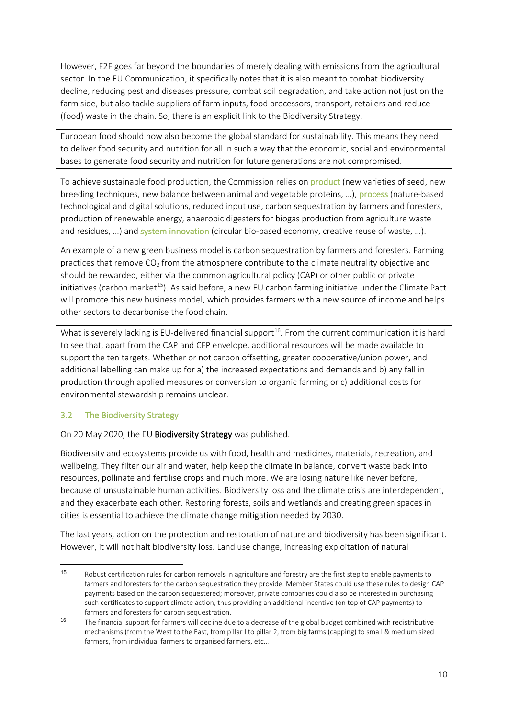However, F2F goes far beyond the boundaries of merely dealing with emissions from the agricultural sector. In the EU Communication, it specifically notes that it is also meant to combat biodiversity decline, reducing pest and diseases pressure, combat soil degradation, and take action not just on the farm side, but also tackle suppliers of farm inputs, food processors, transport, retailers and reduce (food) waste in the chain. So, there is an explicit link to the Biodiversity Strategy.

European food should now also become the global standard for sustainability. This means they need to deliver food security and nutrition for all in such a way that the economic, social and environmental bases to generate food security and nutrition for future generations are not compromised.

To achieve sustainable food production, the Commission relies on product (new varieties of seed, new breeding techniques, new balance between animal and vegetable proteins, …), process (nature-based technological and digital solutions, reduced input use, carbon sequestration by farmers and foresters, production of renewable energy, anaerobic digesters for biogas production from agriculture waste and residues, ...) and system innovation (circular bio-based economy, creative reuse of waste, ...).

An example of a new green business model is carbon sequestration by farmers and foresters. Farming practices that remove  $CO<sub>2</sub>$  from the atmosphere contribute to the climate neutrality objective and should be rewarded, either via the common agricultural policy (CAP) or other public or private initiatives (carbon market<sup>15</sup>). As said before, a new EU carbon farming initiative under the Climate Pact will promote this new business model, which provides farmers with a new source of income and helps other sectors to decarbonise the food chain.

What is severely lacking is EU-delivered financial support<sup>16</sup>. From the current communication it is hard to see that, apart from the CAP and CFP envelope, additional resources will be made available to support the ten targets. Whether or not carbon offsetting, greater cooperative/union power, and additional labelling can make up for a) the increased expectations and demands and b) any fall in production through applied measures or conversion to organic farming or c) additional costs for environmental stewardship remains unclear.

#### 3.2 The Biodiversity Strategy

On 20 May 2020, the EU Biodiversity Strategy was published.

Biodiversity and ecosystems provide us with food, health and medicines, materials, recreation, and wellbeing. They filter our air and water, help keep the climate in balance, convert waste back into resources, pollinate and fertilise crops and much more. We are losing nature like never before, because of unsustainable human activities. Biodiversity loss and the climate crisis are interdependent, and they exacerbate each other. Restoring forests, soils and wetlands and creating green spaces in cities is essential to achieve the climate change mitigation needed by 2030.

The last years, action on the protection and restoration of nature and biodiversity has been significant. However, it will not halt biodiversity loss. Land use change, increasing exploitation of natural

<sup>15</sup> Robust certification rules for carbon removals in agriculture and forestry are the first step to enable payments to farmers and foresters for the carbon sequestration they provide. Member States could use these rules to design CAP payments based on the carbon sequestered; moreover, private companies could also be interested in purchasing such certificates to support climate action, thus providing an additional incentive (on top of CAP payments) to farmers and foresters for carbon sequestration.

<sup>&</sup>lt;sup>16</sup> The financial support for farmers will decline due to a decrease of the global budget combined with redistributive mechanisms (from the West to the East, from pillar I to pillar 2, from big farms (capping) to small & medium sized farmers, from individual farmers to organised farmers, etc…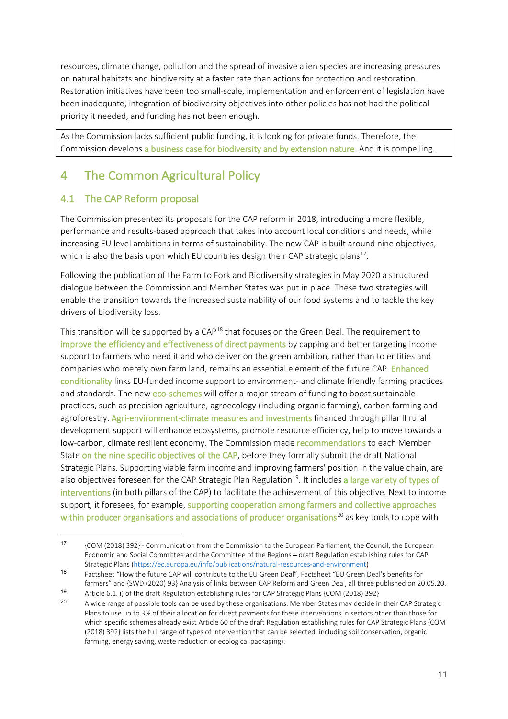resources, climate change, pollution and the spread of invasive alien species are increasing pressures on natural habitats and biodiversity at a faster rate than actions for protection and restoration. Restoration initiatives have been too small-scale, implementation and enforcement of legislation have been inadequate, integration of biodiversity objectives into other policies has not had the political priority it needed, and funding has not been enough.

As the Commission lacks sufficient public funding, it is looking for private funds. Therefore, the Commission develops a business case for biodiversity and by extension nature. And it is compelling.

# 4 The Common Agricultural Policy

## 4.1 The CAP Reform proposal

The Commission presented its proposals for the CAP reform in 2018, introducing a more flexible, performance and results-based approach that takes into account local conditions and needs, while increasing EU level ambitions in terms of sustainability. The new CAP is built around nine objectives, which is also the basis upon which EU countries design their CAP strategic plans<sup>17</sup>.

Following the publication of the Farm to Fork and Biodiversity strategies in May 2020 a structured dialogue between the Commission and Member States was put in place. These two strategies will enable the transition towards the increased sustainability of our food systems and to tackle the key drivers of biodiversity loss.

This transition will be supported by a CAP<sup>18</sup> that focuses on the Green Deal. The requirement to improve the efficiency and effectiveness of direct payments by capping and better targeting income support to farmers who need it and who deliver on the green ambition, rather than to entities and companies who merely own farm land, remains an essential element of the future CAP. Enhanced conditionality links EU-funded income support to environment- and climate friendly farming practices and standards. The new eco-schemes will offer a major stream of funding to boost sustainable practices, such as precision agriculture, agroecology (including organic farming), carbon farming and agroforestry. Agri-environment-climate measures and investments financed through pillar II rural development support will enhance ecosystems, promote resource efficiency, help to move towards a low-carbon, climate resilient economy. The Commission made recommendations to each Member State on the nine specific objectives of the CAP, before they formally submit the draft National Strategic Plans. Supporting viable farm income and improving farmers' position in the value chain, are also objectives foreseen for the CAP Strategic Plan Regulation<sup>19</sup>. It includes a large variety of types of interventions (in both pillars of the CAP) to facilitate the achievement of this objective. Next to income support, it foresees, for example, supporting cooperation among farmers and collective approaches within producer organisations and associations of producer organisations<sup>20</sup> as key tools to cope with

<sup>17</sup> {COM (2018) 392} - Communication from the Commission to the European Parliament, the Council, the European Economic and Social Committee and the Committee of the Regions – draft Regulation establishing rules for CAP Strategic Plans (https://ec.europa.eu/info/publications/natural-resources-and-environment)

<sup>18</sup> Factsheet "How the future CAP will contribute to the EU Green Deal", Factsheet "EU Green Deal's benefits for farmers" and {SWD (2020) 93} Analysis of links between CAP Reform and Green Deal, all three published on 20.05.20.

<sup>19</sup> Article 6.1. i) of the draft Regulation establishing rules for CAP Strategic Plans {COM (2018) 392}<br>20 A wide sange of peccible tools can be used by these examinations. Member States may decide in

A wide range of possible tools can be used by these organisations. Member States may decide in their CAP Strategic Plans to use up to 3% of their allocation for direct payments for these interventions in sectors other than those for which specific schemes already exist Article 60 of the draft Regulation establishing rules for CAP Strategic Plans {COM (2018) 392} lists the full range of types of intervention that can be selected, including soil conservation, organic farming, energy saving, waste reduction or ecological packaging).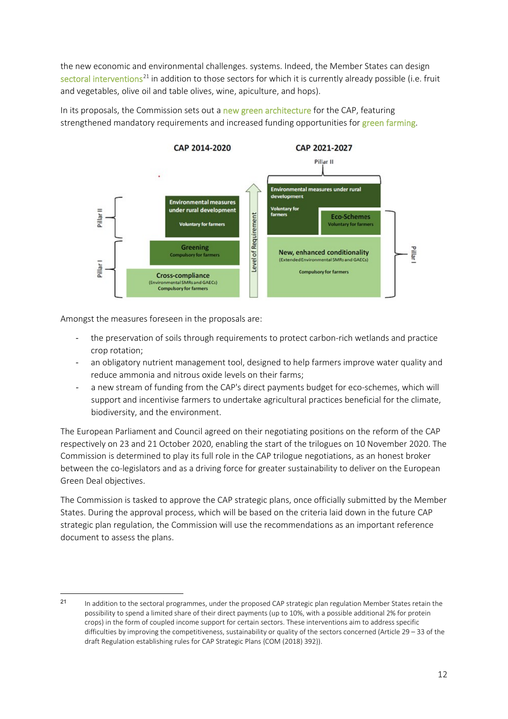the new economic and environmental challenges. systems. Indeed, the Member States can design sectoral interventions<sup>21</sup> in addition to those sectors for which it is currently already possible (i.e. fruit and vegetables, olive oil and table olives, wine, apiculture, and hops).

In its proposals, the Commission sets out a new green architecture for the CAP, featuring strengthened mandatory requirements and increased funding opportunities for green farming.



Amongst the measures foreseen in the proposals are:

- the preservation of soils through requirements to protect carbon-rich wetlands and practice crop rotation;
- an obligatory nutrient management tool, designed to help farmers improve water quality and reduce ammonia and nitrous oxide levels on their farms;
- a new stream of funding from the CAP's direct payments budget for eco-schemes, which will support and incentivise farmers to undertake agricultural practices beneficial for the climate, biodiversity, and the environment.

The European Parliament and Council agreed on their negotiating positions on the reform of the CAP respectively on 23 and 21 October 2020, enabling the start of the trilogues on 10 November 2020. The Commission is determined to play its full role in the CAP trilogue negotiations, as an honest broker between the co-legislators and as a driving force for greater sustainability to deliver on the European Green Deal objectives.

The Commission is tasked to approve the CAP strategic plans, once officially submitted by the Member States. During the approval process, which will be based on the criteria laid down in the future CAP strategic plan regulation, the Commission will use the recommendations as an important reference document to assess the plans.

<sup>21</sup> In addition to the sectoral programmes, under the proposed CAP strategic plan regulation Member States retain the possibility to spend a limited share of their direct payments (up to 10%, with a possible additional 2% for protein crops) in the form of coupled income support for certain sectors. These interventions aim to address specific difficulties by improving the competitiveness, sustainability or quality of the sectors concerned (Article 29 – 33 of the draft Regulation establishing rules for CAP Strategic Plans {COM (2018) 392}).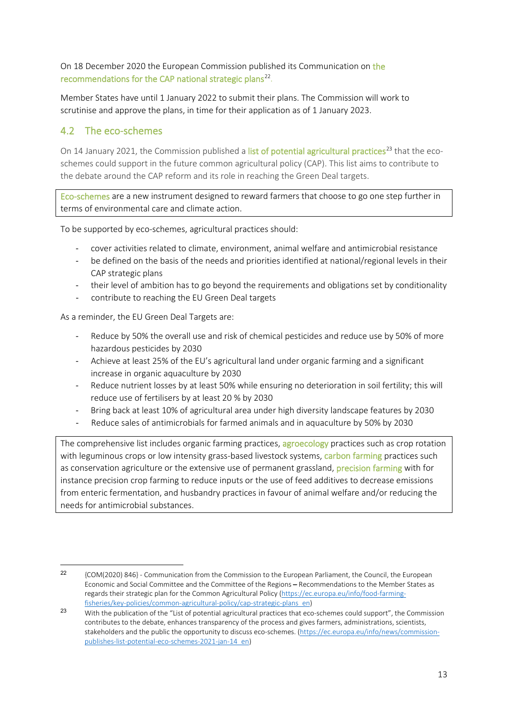On 18 December 2020 the European Commission published its Communication on the recommendations for the CAP national strategic plans<sup>22</sup>.

Member States have until 1 January 2022 to submit their plans. The Commission will work to scrutinise and approve the plans, in time for their application as of 1 January 2023.

### 4.2 The eco-schemes

On 14 January 2021, the Commission published a list of potential agricultural practices<sup>23</sup> that the ecoschemes could support in the future common agricultural policy (CAP). This list aims to contribute to the debate around the CAP reform and its role in reaching the Green Deal targets.

Eco-schemes are a new instrument designed to reward farmers that choose to go one step further in terms of environmental care and climate action.

To be supported by eco-schemes, agricultural practices should:

- cover activities related to climate, environment, animal welfare and antimicrobial resistance
- be defined on the basis of the needs and priorities identified at national/regional levels in their CAP strategic plans
- their level of ambition has to go beyond the requirements and obligations set by conditionality
- contribute to reaching the EU Green Deal targets

As a reminder, the EU Green Deal Targets are:

- Reduce by 50% the overall use and risk of chemical pesticides and reduce use by 50% of more hazardous pesticides by 2030
- Achieve at least 25% of the EU's agricultural land under organic farming and a significant increase in organic aquaculture by 2030
- Reduce nutrient losses by at least 50% while ensuring no deterioration in soil fertility; this will reduce use of fertilisers by at least 20 % by 2030
- Bring back at least 10% of agricultural area under high diversity landscape features by 2030
- Reduce sales of antimicrobials for farmed animals and in aquaculture by 50% by 2030

The comprehensive list includes organic farming practices, agroecology practices such as crop rotation with leguminous crops or low intensity grass-based livestock systems, carbon farming practices such as conservation agriculture or the extensive use of permanent grassland, precision farming with for instance precision crop farming to reduce inputs or the use of feed additives to decrease emissions from enteric fermentation, and husbandry practices in favour of animal welfare and/or reducing the needs for antimicrobial substances.

<sup>22</sup> {COM(2020) 846} - Communication from the Commission to the European Parliament, the Council, the European Economic and Social Committee and the Committee of the Regions – Recommendations to the Member States as regards their strategic plan for the Common Agricultural Policy (https://ec.europa.eu/info/food-farmingfisheries/key-policies/common-agricultural-policy/cap-strategic-plans\_en)

<sup>23</sup> With the publication of the "List of potential agricultural practices that eco-schemes could support", the Commission contributes to the debate, enhances transparency of the process and gives farmers, administrations, scientists, stakeholders and the public the opportunity to discuss eco-schemes. (https://ec.europa.eu/info/news/commissionpublishes-list-potential-eco-schemes-2021-jan-14\_en)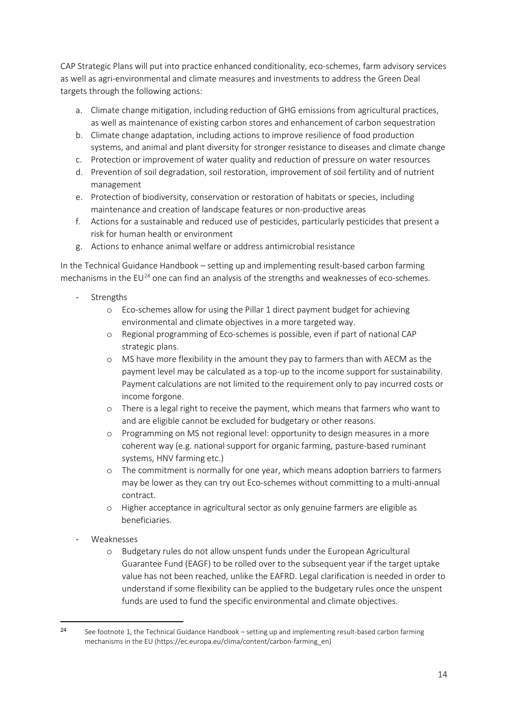CAP Strategic Plans will put into practice enhanced conditionality, eco-schemes, farm advisory services as well as agri-environmental and climate measures and investments to address the Green Deal targets through the following actions:

- a. Climate change mitigation, including reduction of GHG emissions from agricultural practices, as well as maintenance of existing carbon stores and enhancement of carbon sequestration
- b. Climate change adaptation, including actions to improve resilience of food production systems, and animal and plant diversity for stronger resistance to diseases and climate change
- c. Protection or improvement of water quality and reduction of pressure on water resources
- d. Prevention of soil degradation, soil restoration, improvement of soil fertility and of nutrient management
- e. Protection of biodiversity, conservation or restoration of habitats or species, including maintenance and creation of landscape features or non-productive areas
- f. Actions for a sustainable and reduced use of pesticides, particularly pesticides that present a risk for human health or environment
- g. Actions to enhance animal welfare or address antimicrobial resistance

In the Technical Guidance Handbook – setting up and implementing result-based carbon farming mechanisms in the  $EU^{24}$  one can find an analysis of the strengths and weaknesses of eco-schemes.

- **Strengths** 
	- o Eco-schemes allow for using the Pillar 1 direct payment budget for achieving environmental and climate objectives in a more targeted way.
	- o Regional programming of Eco-schemes is possible, even if part of national CAP strategic plans.
	- o MS have more flexibility in the amount they pay to farmers than with AECM as the payment level may be calculated as a top-up to the income support for sustainability. Payment calculations are not limited to the requirement only to pay incurred costs or income forgone.
	- o There is a legal right to receive the payment, which means that farmers who want to and are eligible cannot be excluded for budgetary or other reasons.
	- o Programming on MS not regional level: opportunity to design measures in a more coherent way (e.g. national support for organic farming, pasture-based ruminant systems, HNV farming etc.)
	- o The commitment is normally for one year, which means adoption barriers to farmers may be lower as they can try out Eco-schemes without committing to a multi-annual contract.
	- o Higher acceptance in agricultural sector as only genuine farmers are eligible as beneficiaries.
- Weaknesses
	- o Budgetary rules do not allow unspent funds under the European Agricultural Guarantee Fund (EAGF) to be rolled over to the subsequent year if the target uptake value has not been reached, unlike the EAFRD. Legal clarification is needed in order to understand if some flexibility can be applied to the budgetary rules once the unspent funds are used to fund the specific environmental and climate objectives.

<sup>24</sup> See footnote 1, the Technical Guidance Handbook – setting up and implementing result-based carbon farming mechanisms in the EU (https://ec.europa.eu/clima/content/carbon-farming\_en)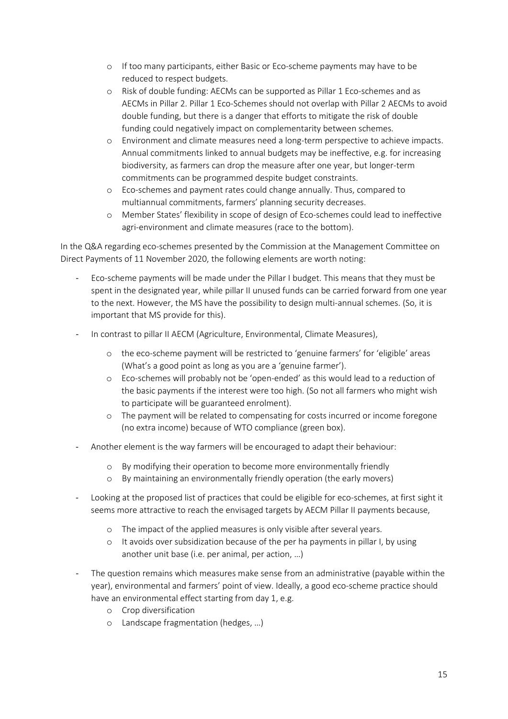- o If too many participants, either Basic or Eco-scheme payments may have to be reduced to respect budgets.
- o Risk of double funding: AECMs can be supported as Pillar 1 Eco-schemes and as AECMs in Pillar 2. Pillar 1 Eco-Schemes should not overlap with Pillar 2 AECMs to avoid double funding, but there is a danger that efforts to mitigate the risk of double funding could negatively impact on complementarity between schemes.
- o Environment and climate measures need a long-term perspective to achieve impacts. Annual commitments linked to annual budgets may be ineffective, e.g. for increasing biodiversity, as farmers can drop the measure after one year, but longer-term commitments can be programmed despite budget constraints.
- o Eco-schemes and payment rates could change annually. Thus, compared to multiannual commitments, farmers' planning security decreases.
- o Member States' flexibility in scope of design of Eco-schemes could lead to ineffective agri-environment and climate measures (race to the bottom).

In the Q&A regarding eco-schemes presented by the Commission at the Management Committee on Direct Payments of 11 November 2020, the following elements are worth noting:

- Eco-scheme payments will be made under the Pillar I budget. This means that they must be spent in the designated year, while pillar II unused funds can be carried forward from one year to the next. However, the MS have the possibility to design multi-annual schemes. (So, it is important that MS provide for this).
- In contrast to pillar II AECM (Agriculture, Environmental, Climate Measures),
	- o the eco-scheme payment will be restricted to 'genuine farmers' for 'eligible' areas (What's a good point as long as you are a 'genuine farmer').
	- o Eco-schemes will probably not be 'open-ended' as this would lead to a reduction of the basic payments if the interest were too high. (So not all farmers who might wish to participate will be guaranteed enrolment).
	- o The payment will be related to compensating for costs incurred or income foregone (no extra income) because of WTO compliance (green box).
- Another element is the way farmers will be encouraged to adapt their behaviour:
	- o By modifying their operation to become more environmentally friendly
	- o By maintaining an environmentally friendly operation (the early movers)
- Looking at the proposed list of practices that could be eligible for eco-schemes, at first sight it seems more attractive to reach the envisaged targets by AECM Pillar II payments because,
	- o The impact of the applied measures is only visible after several years.
	- o It avoids over subsidization because of the per ha payments in pillar I, by using another unit base (i.e. per animal, per action, …)
- The question remains which measures make sense from an administrative (payable within the year), environmental and farmers' point of view. Ideally, a good eco-scheme practice should have an environmental effect starting from day 1, e.g.
	- o Crop diversification
	- o Landscape fragmentation (hedges, …)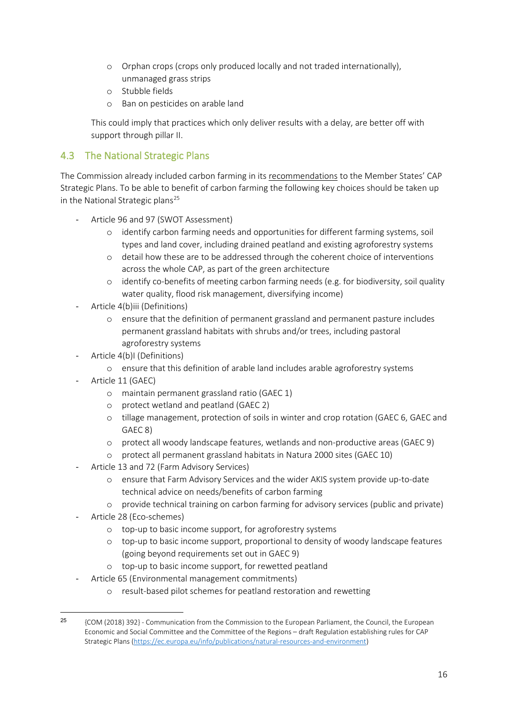- o Orphan crops (crops only produced locally and not traded internationally), unmanaged grass strips
- o Stubble fields
- o Ban on pesticides on arable land

This could imply that practices which only deliver results with a delay, are better off with support through pillar II.

## 4.3 The National Strategic Plans

The Commission already included carbon farming in its recommendations to the Member States' CAP Strategic Plans. To be able to benefit of carbon farming the following key choices should be taken up in the National Strategic plans<sup>25</sup>

- Article 96 and 97 (SWOT Assessment)
	- o identify carbon farming needs and opportunities for different farming systems, soil types and land cover, including drained peatland and existing agroforestry systems
	- o detail how these are to be addressed through the coherent choice of interventions across the whole CAP, as part of the green architecture
	- o identify co-benefits of meeting carbon farming needs (e.g. for biodiversity, soil quality water quality, flood risk management, diversifying income)
- Article 4(b)iii (Definitions)
	- o ensure that the definition of permanent grassland and permanent pasture includes permanent grassland habitats with shrubs and/or trees, including pastoral agroforestry systems
- Article 4(b)I (Definitions)
	- o ensure that this definition of arable land includes arable agroforestry systems
- Article 11 (GAEC)
	- o maintain permanent grassland ratio (GAEC 1)
	- o protect wetland and peatland (GAEC 2)
	- o tillage management, protection of soils in winter and crop rotation (GAEC 6, GAEC and GAEC 8)
	- o protect all woody landscape features, wetlands and non-productive areas (GAEC 9)
	- o protect all permanent grassland habitats in Natura 2000 sites (GAEC 10)
- Article 13 and 72 (Farm Advisory Services)
	- o ensure that Farm Advisory Services and the wider AKIS system provide up-to-date technical advice on needs/benefits of carbon farming
	- o provide technical training on carbon farming for advisory services (public and private)
- Article 28 (Eco-schemes)
	- o top-up to basic income support, for agroforestry systems
	- o top-up to basic income support, proportional to density of woody landscape features (going beyond requirements set out in GAEC 9)
	- o top-up to basic income support, for rewetted peatland
- Article 65 (Environmental management commitments)
	- o result-based pilot schemes for peatland restoration and rewetting

<sup>&</sup>lt;sup>25</sup> {COM (2018) 392} - Communication from the Commission to the European Parliament, the Council, the European Economic and Social Committee and the Committee of the Regions – draft Regulation establishing rules for CAP Strategic Plans (https://ec.europa.eu/info/publications/natural-resources-and-environment)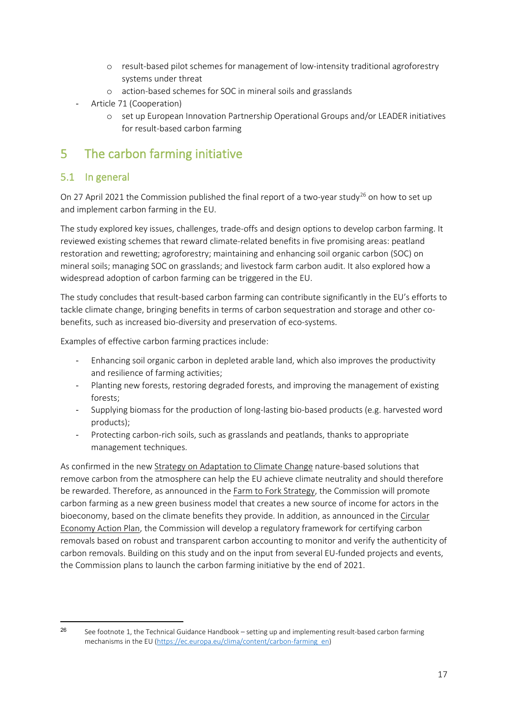- o result-based pilot schemes for management of low-intensity traditional agroforestry systems under threat
- o action-based schemes for SOC in mineral soils and grasslands
- Article 71 (Cooperation)
	- o set up European Innovation Partnership Operational Groups and/or LEADER initiatives for result-based carbon farming

# 5 The carbon farming initiative

## 5.1 In general

On 27 April 2021 the Commission published the final report of a two-year study<sup>26</sup> on how to set up and implement carbon farming in the EU.

The study explored key issues, challenges, trade-offs and design options to develop carbon farming. It reviewed existing schemes that reward climate-related benefits in five promising areas: peatland restoration and rewetting; agroforestry; maintaining and enhancing soil organic carbon (SOC) on mineral soils; managing SOC on grasslands; and livestock farm carbon audit. It also explored how a widespread adoption of carbon farming can be triggered in the EU.

The study concludes that result-based carbon farming can contribute significantly in the EU's efforts to tackle climate change, bringing benefits in terms of carbon sequestration and storage and other cobenefits, such as increased bio-diversity and preservation of eco-systems.

Examples of effective carbon farming practices include:

- Enhancing soil organic carbon in depleted arable land, which also improves the productivity and resilience of farming activities;
- Planting new forests, restoring degraded forests, and improving the management of existing forests;
- Supplying biomass for the production of long-lasting bio-based products (e.g. harvested word products);
- Protecting carbon-rich soils, such as grasslands and peatlands, thanks to appropriate management techniques.

As confirmed in the new Strategy on Adaptation to Climate Change nature-based solutions that remove carbon from the atmosphere can help the EU achieve climate neutrality and should therefore be rewarded. Therefore, as announced in the Farm to Fork Strategy, the Commission will promote carbon farming as a new green business model that creates a new source of income for actors in the bioeconomy, based on the climate benefits they provide. In addition, as announced in the Circular Economy Action Plan, the Commission will develop a regulatory framework for certifying carbon removals based on robust and transparent carbon accounting to monitor and verify the authenticity of carbon removals. Building on this study and on the input from several EU-funded projects and events, the Commission plans to launch the carbon farming initiative by the end of 2021.

<sup>&</sup>lt;sup>26</sup> See footnote 1, the Technical Guidance Handbook – setting up and implementing result-based carbon farming mechanisms in the EU (https://ec.europa.eu/clima/content/carbon-farming\_en)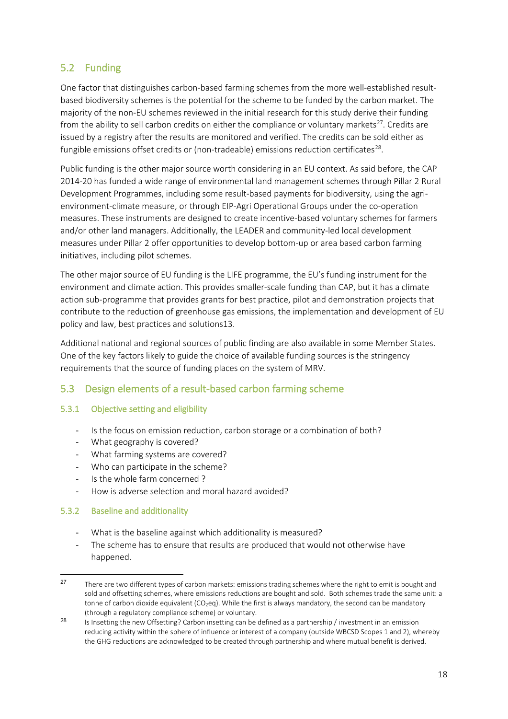## 5.2 Funding

One factor that distinguishes carbon-based farming schemes from the more well-established resultbased biodiversity schemes is the potential for the scheme to be funded by the carbon market. The majority of the non-EU schemes reviewed in the initial research for this study derive their funding from the ability to sell carbon credits on either the compliance or voluntary markets<sup>27</sup>. Credits are issued by a registry after the results are monitored and verified. The credits can be sold either as fungible emissions offset credits or (non-tradeable) emissions reduction certificates<sup>28</sup>.

Public funding is the other major source worth considering in an EU context. As said before, the CAP 2014-20 has funded a wide range of environmental land management schemes through Pillar 2 Rural Development Programmes, including some result-based payments for biodiversity, using the agrienvironment-climate measure, or through EIP-Agri Operational Groups under the co-operation measures. These instruments are designed to create incentive-based voluntary schemes for farmers and/or other land managers. Additionally, the LEADER and community-led local development measures under Pillar 2 offer opportunities to develop bottom-up or area based carbon farming initiatives, including pilot schemes.

The other major source of EU funding is the LIFE programme, the EU's funding instrument for the environment and climate action. This provides smaller-scale funding than CAP, but it has a climate action sub-programme that provides grants for best practice, pilot and demonstration projects that contribute to the reduction of greenhouse gas emissions, the implementation and development of EU policy and law, best practices and solutions13.

Additional national and regional sources of public finding are also available in some Member States. One of the key factors likely to guide the choice of available funding sources is the stringency requirements that the source of funding places on the system of MRV.

#### 5.3 Design elements of a result-based carbon farming scheme

#### 5.3.1 Objective setting and eligibility

- Is the focus on emission reduction, carbon storage or a combination of both?
- What geography is covered?
- What farming systems are covered?
- Who can participate in the scheme?
- Is the whole farm concerned ?
- How is adverse selection and moral hazard avoided?

#### 5.3.2 Baseline and additionality

- What is the baseline against which additionality is measured?
- The scheme has to ensure that results are produced that would not otherwise have happened.

<sup>&</sup>lt;sup>27</sup> There are two different types of carbon markets: emissions trading schemes where the right to emit is bought and sold and offsetting schemes, where emissions reductions are bought and sold. Both schemes trade the same unit: a tonne of carbon dioxide equivalent (CO<sub>2</sub>eq). While the first is always mandatory, the second can be mandatory (through a regulatory compliance scheme) or voluntary.

<sup>&</sup>lt;sup>28</sup> Is Insetting the new Offsetting? Carbon insetting can be defined as a partnership / investment in an emission reducing activity within the sphere of influence or interest of a company (outside WBCSD Scopes 1 and 2), whereby the GHG reductions are acknowledged to be created through partnership and where mutual benefit is derived.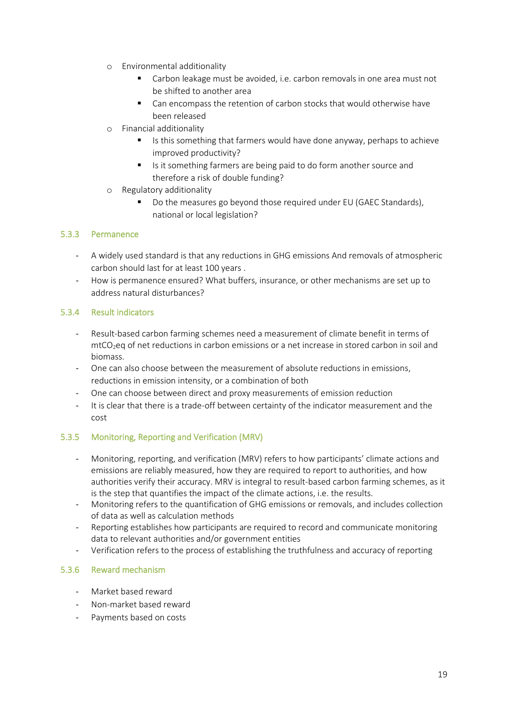- o Environmental additionality
	- Carbon leakage must be avoided, i.e. carbon removals in one area must not be shifted to another area
	- Can encompass the retention of carbon stocks that would otherwise have been released
- o Financial additionality
	- Is this something that farmers would have done anyway, perhaps to achieve improved productivity?
	- I Is it something farmers are being paid to do form another source and therefore a risk of double funding?
- o Regulatory additionality
	- Do the measures go beyond those required under EU (GAEC Standards), national or local legislation?

#### 5.3.3 Permanence

- A widely used standard is that any reductions in GHG emissions And removals of atmospheric carbon should last for at least 100 years .
- How is permanence ensured? What buffers, insurance, or other mechanisms are set up to address natural disturbances?

#### 5.3.4 Result indicators

- Result-based carbon farming schemes need a measurement of climate benefit in terms of mtCO<sub>2</sub>eq of net reductions in carbon emissions or a net increase in stored carbon in soil and biomass.
- One can also choose between the measurement of absolute reductions in emissions, reductions in emission intensity, or a combination of both
- One can choose between direct and proxy measurements of emission reduction
- It is clear that there is a trade-off between certainty of the indicator measurement and the cost

#### 5.3.5 Monitoring, Reporting and Verification (MRV)

- Monitoring, reporting, and verification (MRV) refers to how participants' climate actions and emissions are reliably measured, how they are required to report to authorities, and how authorities verify their accuracy. MRV is integral to result-based carbon farming schemes, as it is the step that quantifies the impact of the climate actions, i.e. the results.
- Monitoring refers to the quantification of GHG emissions or removals, and includes collection of data as well as calculation methods
- Reporting establishes how participants are required to record and communicate monitoring data to relevant authorities and/or government entities
- Verification refers to the process of establishing the truthfulness and accuracy of reporting

#### 5.3.6 Reward mechanism

- Market based reward
- Non-market based reward
- Payments based on costs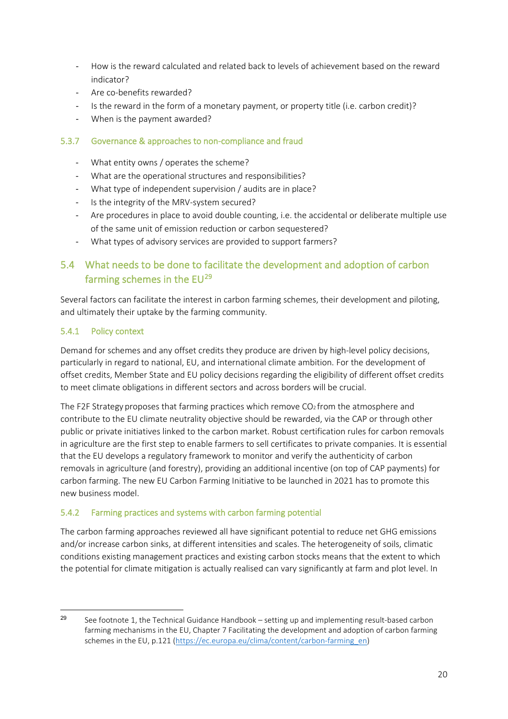- How is the reward calculated and related back to levels of achievement based on the reward indicator?
- Are co-benefits rewarded?
- Is the reward in the form of a monetary payment, or property title (i.e. carbon credit)?
- When is the payment awarded?

#### 5.3.7 Governance & approaches to non-compliance and fraud

- What entity owns / operates the scheme?
- What are the operational structures and responsibilities?
- What type of independent supervision / audits are in place?
- Is the integrity of the MRV-system secured?
- Are procedures in place to avoid double counting, i.e. the accidental or deliberate multiple use of the same unit of emission reduction or carbon sequestered?
- What types of advisory services are provided to support farmers?

## 5.4 What needs to be done to facilitate the development and adoption of carbon farming schemes in the  $EU^{29}$

Several factors can facilitate the interest in carbon farming schemes, their development and piloting, and ultimately their uptake by the farming community.

#### 5.4.1 Policy context

Demand for schemes and any offset credits they produce are driven by high-level policy decisions, particularly in regard to national, EU, and international climate ambition. For the development of offset credits, Member State and EU policy decisions regarding the eligibility of different offset credits to meet climate obligations in different sectors and across borders will be crucial.

The F2F Strategy proposes that farming practices which remove  $CO<sub>2</sub>$  from the atmosphere and contribute to the EU climate neutrality objective should be rewarded, via the CAP or through other public or private initiatives linked to the carbon market. Robust certification rules for carbon removals in agriculture are the first step to enable farmers to sell certificates to private companies. It is essential that the EU develops a regulatory framework to monitor and verify the authenticity of carbon removals in agriculture (and forestry), providing an additional incentive (on top of CAP payments) for carbon farming. The new EU Carbon Farming Initiative to be launched in 2021 has to promote this new business model.

#### 5.4.2 Farming practices and systems with carbon farming potential

The carbon farming approaches reviewed all have significant potential to reduce net GHG emissions and/or increase carbon sinks, at different intensities and scales. The heterogeneity of soils, climatic conditions existing management practices and existing carbon stocks means that the extent to which the potential for climate mitigation is actually realised can vary significantly at farm and plot level. In

<sup>&</sup>lt;sup>29</sup> See footnote 1, the Technical Guidance Handbook – setting up and implementing result-based carbon farming mechanisms in the EU, Chapter 7 Facilitating the development and adoption of carbon farming schemes in the EU, p.121 (https://ec.europa.eu/clima/content/carbon-farming\_en)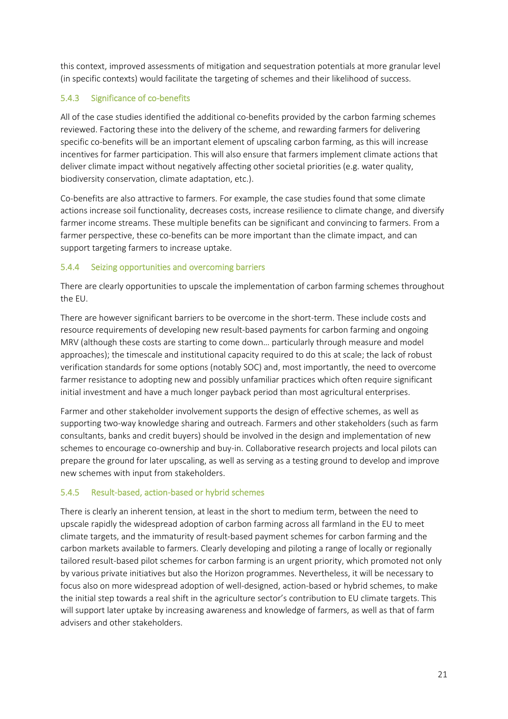this context, improved assessments of mitigation and sequestration potentials at more granular level (in specific contexts) would facilitate the targeting of schemes and their likelihood of success.

#### 5.4.3 Significance of co-benefits

All of the case studies identified the additional co-benefits provided by the carbon farming schemes reviewed. Factoring these into the delivery of the scheme, and rewarding farmers for delivering specific co-benefits will be an important element of upscaling carbon farming, as this will increase incentives for farmer participation. This will also ensure that farmers implement climate actions that deliver climate impact without negatively affecting other societal priorities (e.g. water quality, biodiversity conservation, climate adaptation, etc.).

Co-benefits are also attractive to farmers. For example, the case studies found that some climate actions increase soil functionality, decreases costs, increase resilience to climate change, and diversify farmer income streams. These multiple benefits can be significant and convincing to farmers. From a farmer perspective, these co-benefits can be more important than the climate impact, and can support targeting farmers to increase uptake.

#### 5.4.4 Seizing opportunities and overcoming barriers

There are clearly opportunities to upscale the implementation of carbon farming schemes throughout the EU.

There are however significant barriers to be overcome in the short-term. These include costs and resource requirements of developing new result-based payments for carbon farming and ongoing MRV (although these costs are starting to come down… particularly through measure and model approaches); the timescale and institutional capacity required to do this at scale; the lack of robust verification standards for some options (notably SOC) and, most importantly, the need to overcome farmer resistance to adopting new and possibly unfamiliar practices which often require significant initial investment and have a much longer payback period than most agricultural enterprises.

Farmer and other stakeholder involvement supports the design of effective schemes, as well as supporting two-way knowledge sharing and outreach. Farmers and other stakeholders (such as farm consultants, banks and credit buyers) should be involved in the design and implementation of new schemes to encourage co-ownership and buy-in. Collaborative research projects and local pilots can prepare the ground for later upscaling, as well as serving as a testing ground to develop and improve new schemes with input from stakeholders.

#### 5.4.5 Result-based, action-based or hybrid schemes

There is clearly an inherent tension, at least in the short to medium term, between the need to upscale rapidly the widespread adoption of carbon farming across all farmland in the EU to meet climate targets, and the immaturity of result-based payment schemes for carbon farming and the carbon markets available to farmers. Clearly developing and piloting a range of locally or regionally tailored result-based pilot schemes for carbon farming is an urgent priority, which promoted not only by various private initiatives but also the Horizon programmes. Nevertheless, it will be necessary to focus also on more widespread adoption of well-designed, action-based or hybrid schemes, to make the initial step towards a real shift in the agriculture sector's contribution to EU climate targets. This will support later uptake by increasing awareness and knowledge of farmers, as well as that of farm advisers and other stakeholders.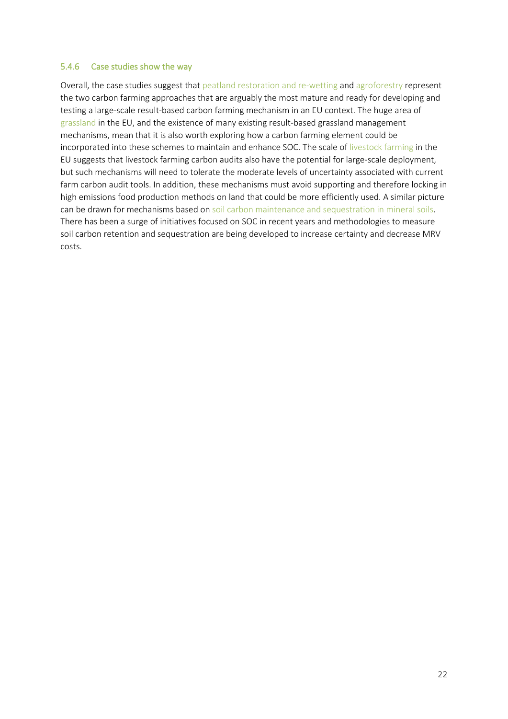#### 5.4.6 Case studies show the way

Overall, the case studies suggest that peatland restoration and re-wetting and agroforestry represent the two carbon farming approaches that are arguably the most mature and ready for developing and testing a large-scale result-based carbon farming mechanism in an EU context. The huge area of grassland in the EU, and the existence of many existing result-based grassland management mechanisms, mean that it is also worth exploring how a carbon farming element could be incorporated into these schemes to maintain and enhance SOC. The scale of livestock farming in the EU suggests that livestock farming carbon audits also have the potential for large-scale deployment, but such mechanisms will need to tolerate the moderate levels of uncertainty associated with current farm carbon audit tools. In addition, these mechanisms must avoid supporting and therefore locking in high emissions food production methods on land that could be more efficiently used. A similar picture can be drawn for mechanisms based on soil carbon maintenance and sequestration in mineral soils. There has been a surge of initiatives focused on SOC in recent years and methodologies to measure soil carbon retention and sequestration are being developed to increase certainty and decrease MRV costs.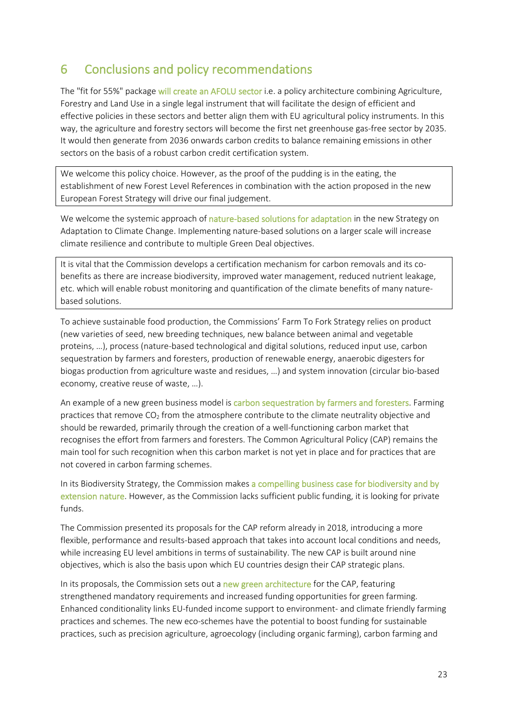# 6 Conclusions and policy recommendations

The "fit for 55%" package will create an AFOLU sector i.e. a policy architecture combining Agriculture, Forestry and Land Use in a single legal instrument that will facilitate the design of efficient and effective policies in these sectors and better align them with EU agricultural policy instruments. In this way, the agriculture and forestry sectors will become the first net greenhouse gas-free sector by 2035. It would then generate from 2036 onwards carbon credits to balance remaining emissions in other sectors on the basis of a robust carbon credit certification system.

We welcome this policy choice. However, as the proof of the pudding is in the eating, the establishment of new Forest Level References in combination with the action proposed in the new European Forest Strategy will drive our final judgement.

We welcome the systemic approach of nature-based solutions for adaptation in the new Strategy on Adaptation to Climate Change. Implementing nature-based solutions on a larger scale will increase climate resilience and contribute to multiple Green Deal objectives.

It is vital that the Commission develops a certification mechanism for carbon removals and its cobenefits as there are increase biodiversity, improved water management, reduced nutrient leakage, etc. which will enable robust monitoring and quantification of the climate benefits of many naturebased solutions.

To achieve sustainable food production, the Commissions' Farm To Fork Strategy relies on product (new varieties of seed, new breeding techniques, new balance between animal and vegetable proteins, …), process (nature-based technological and digital solutions, reduced input use, carbon sequestration by farmers and foresters, production of renewable energy, anaerobic digesters for biogas production from agriculture waste and residues, …) and system innovation (circular bio-based economy, creative reuse of waste, …).

An example of a new green business model is carbon sequestration by farmers and foresters. Farming practices that remove  $CO<sub>2</sub>$  from the atmosphere contribute to the climate neutrality objective and should be rewarded, primarily through the creation of a well-functioning carbon market that recognises the effort from farmers and foresters. The Common Agricultural Policy (CAP) remains the main tool for such recognition when this carbon market is not yet in place and for practices that are not covered in carbon farming schemes.

In its Biodiversity Strategy, the Commission makes a compelling business case for biodiversity and by extension nature. However, as the Commission lacks sufficient public funding, it is looking for private funds.

The Commission presented its proposals for the CAP reform already in 2018, introducing a more flexible, performance and results-based approach that takes into account local conditions and needs, while increasing EU level ambitions in terms of sustainability. The new CAP is built around nine objectives, which is also the basis upon which EU countries design their CAP strategic plans.

In its proposals, the Commission sets out a new green architecture for the CAP, featuring strengthened mandatory requirements and increased funding opportunities for green farming. Enhanced conditionality links EU-funded income support to environment- and climate friendly farming practices and schemes. The new eco-schemes have the potential to boost funding for sustainable practices, such as precision agriculture, agroecology (including organic farming), carbon farming and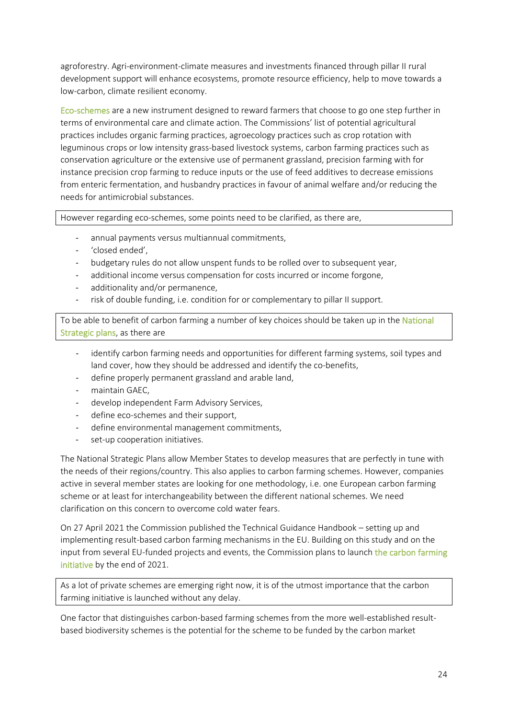agroforestry. Agri-environment-climate measures and investments financed through pillar II rural development support will enhance ecosystems, promote resource efficiency, help to move towards a low-carbon, climate resilient economy.

Eco-schemes are a new instrument designed to reward farmers that choose to go one step further in terms of environmental care and climate action. The Commissions' list of potential agricultural practices includes organic farming practices, agroecology practices such as crop rotation with leguminous crops or low intensity grass-based livestock systems, carbon farming practices such as conservation agriculture or the extensive use of permanent grassland, precision farming with for instance precision crop farming to reduce inputs or the use of feed additives to decrease emissions from enteric fermentation, and husbandry practices in favour of animal welfare and/or reducing the needs for antimicrobial substances.

However regarding eco-schemes, some points need to be clarified, as there are,

- annual payments versus multiannual commitments,
- 'closed ended',
- budgetary rules do not allow unspent funds to be rolled over to subsequent year,
- additional income versus compensation for costs incurred or income forgone,
- additionality and/or permanence,
- risk of double funding, i.e. condition for or complementary to pillar II support.

To be able to benefit of carbon farming a number of key choices should be taken up in the National Strategic plans, as there are

- identify carbon farming needs and opportunities for different farming systems, soil types and land cover, how they should be addressed and identify the co-benefits,
- define properly permanent grassland and arable land,
- maintain GAEC,
- develop independent Farm Advisory Services,
- define eco-schemes and their support,
- define environmental management commitments,
- set-up cooperation initiatives.

The National Strategic Plans allow Member States to develop measures that are perfectly in tune with the needs of their regions/country. This also applies to carbon farming schemes. However, companies active in several member states are looking for one methodology, i.e. one European carbon farming scheme or at least for interchangeability between the different national schemes. We need clarification on this concern to overcome cold water fears.

On 27 April 2021 the Commission published the Technical Guidance Handbook – setting up and implementing result-based carbon farming mechanisms in the EU. Building on this study and on the input from several EU-funded projects and events, the Commission plans to launch the carbon farming initiative by the end of 2021.

As a lot of private schemes are emerging right now, it is of the utmost importance that the carbon farming initiative is launched without any delay.

One factor that distinguishes carbon-based farming schemes from the more well-established resultbased biodiversity schemes is the potential for the scheme to be funded by the carbon market